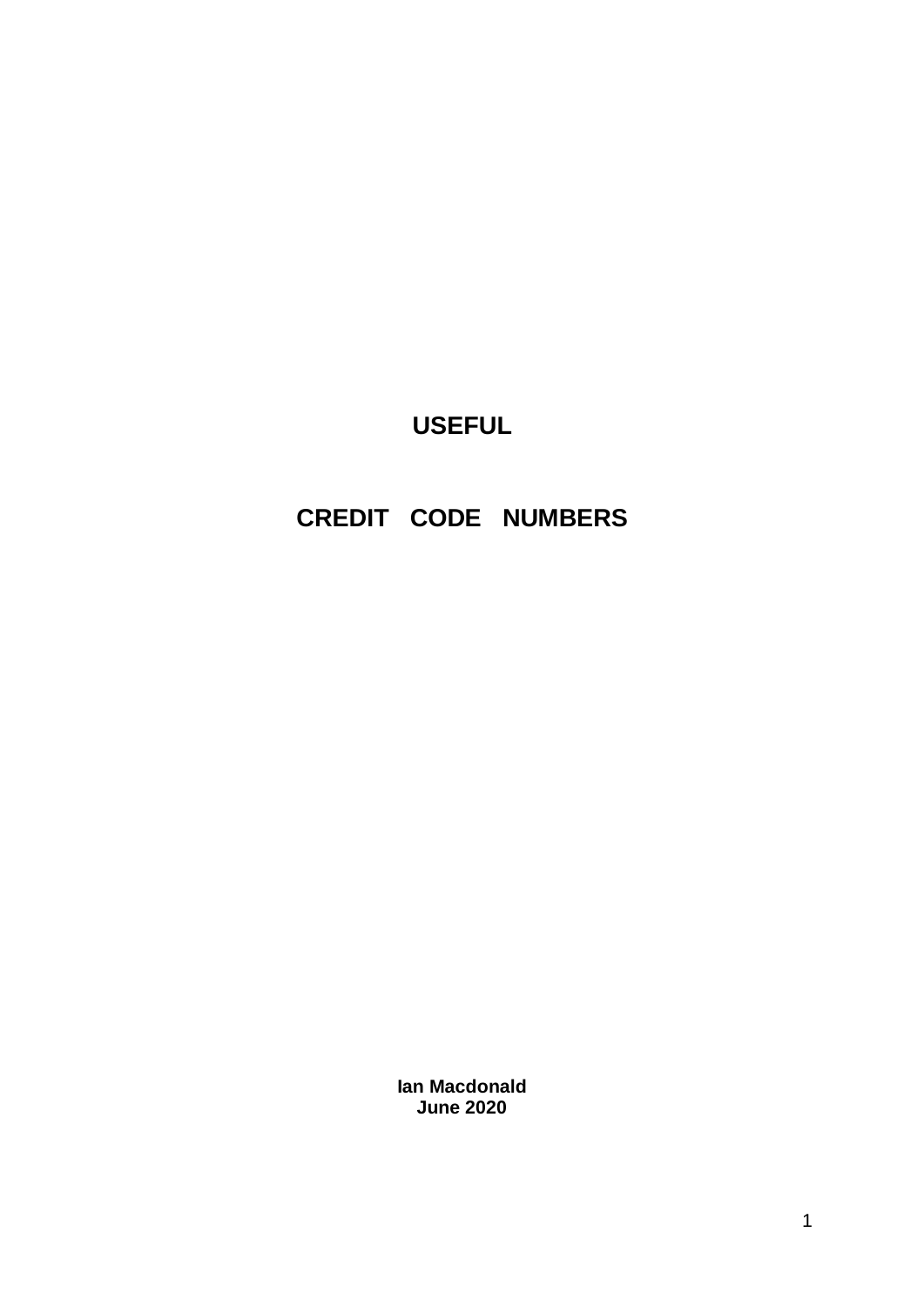# **USEFUL**

# **CREDIT CODE NUMBERS**

**Ian Macdonald June 2020**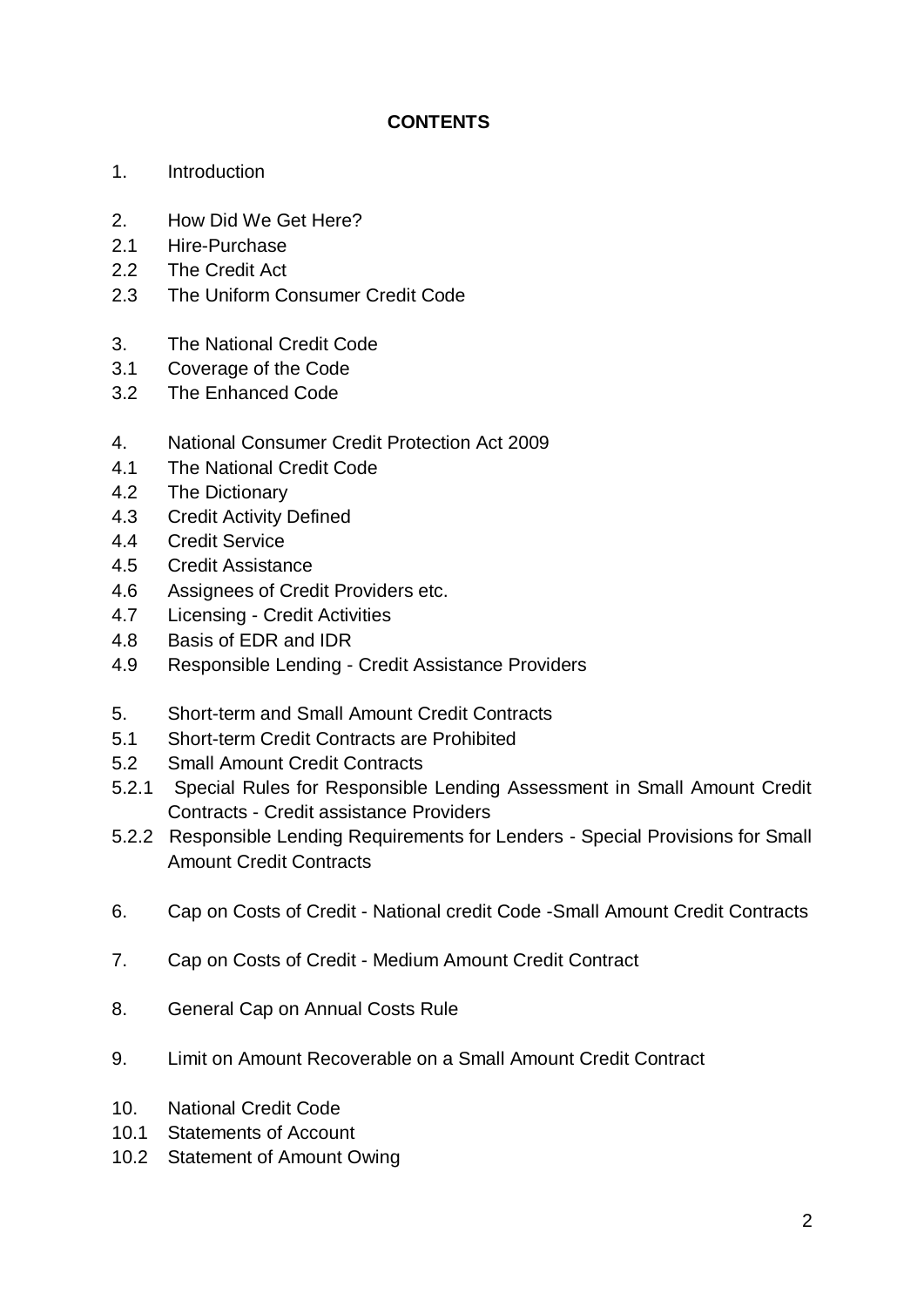# **CONTENTS**

- 1. Introduction
- 2. How Did We Get Here?
- 2.1 Hire-Purchase
- 2.2 The Credit Act
- 2.3 The Uniform Consumer Credit Code
- 3. The National Credit Code
- 3.1 Coverage of the Code
- 3.2 The Enhanced Code
- 4. National Consumer Credit Protection Act 2009
- 4.1 The National Credit Code
- 4.2 The Dictionary
- 4.3 Credit Activity Defined
- 4.4 Credit Service
- 4.5 Credit Assistance
- 4.6 Assignees of Credit Providers etc.
- 4.7 Licensing Credit Activities
- 4.8 Basis of EDR and IDR
- 4.9 Responsible Lending Credit Assistance Providers
- 5. Short-term and Small Amount Credit Contracts
- 5.1 Short-term Credit Contracts are Prohibited
- 5.2 Small Amount Credit Contracts
- 5.2.1 Special Rules for Responsible Lending Assessment in Small Amount Credit Contracts - Credit assistance Providers
- 5.2.2 Responsible Lending Requirements for Lenders Special Provisions for Small Amount Credit Contracts
- 6. Cap on Costs of Credit National credit Code -Small Amount Credit Contracts
- 7. Cap on Costs of Credit Medium Amount Credit Contract
- 8. General Cap on Annual Costs Rule
- 9. Limit on Amount Recoverable on a Small Amount Credit Contract
- 10. National Credit Code
- 10.1 Statements of Account
- 10.2 Statement of Amount Owing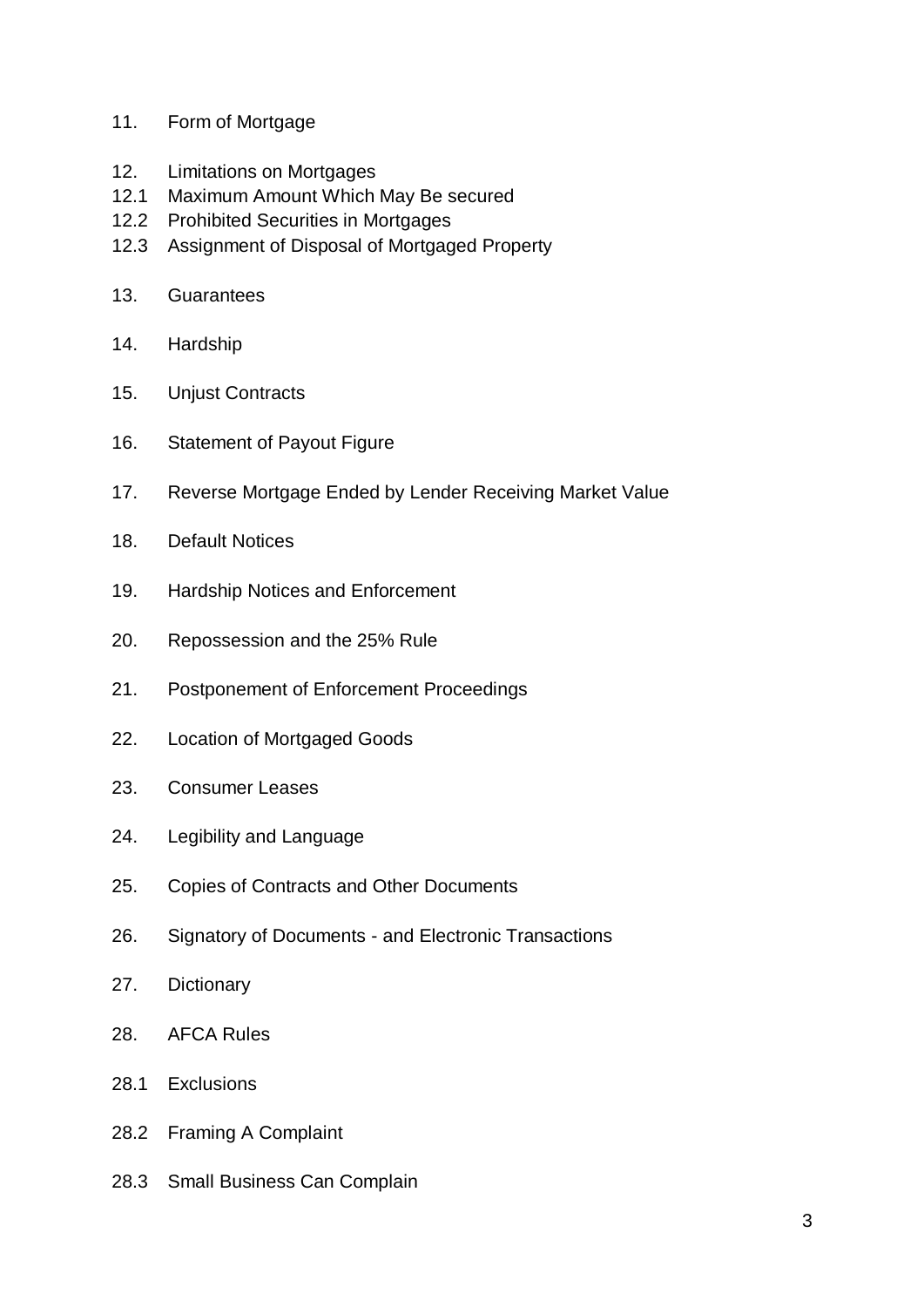- 11. Form of Mortgage
- 12. Limitations on Mortgages
- 12.1 Maximum Amount Which May Be secured
- 12.2 Prohibited Securities in Mortgages
- 12.3 Assignment of Disposal of Mortgaged Property
- 13. Guarantees
- 14. Hardship
- 15. Unjust Contracts
- 16. Statement of Payout Figure
- 17. Reverse Mortgage Ended by Lender Receiving Market Value
- 18. Default Notices
- 19. Hardship Notices and Enforcement
- 20. Repossession and the 25% Rule
- 21. Postponement of Enforcement Proceedings
- 22. Location of Mortgaged Goods
- 23. Consumer Leases
- 24. Legibility and Language
- 25. Copies of Contracts and Other Documents
- 26. Signatory of Documents and Electronic Transactions
- 27. Dictionary
- 28. AFCA Rules
- 28.1 Exclusions
- 28.2 Framing A Complaint
- 28.3 Small Business Can Complain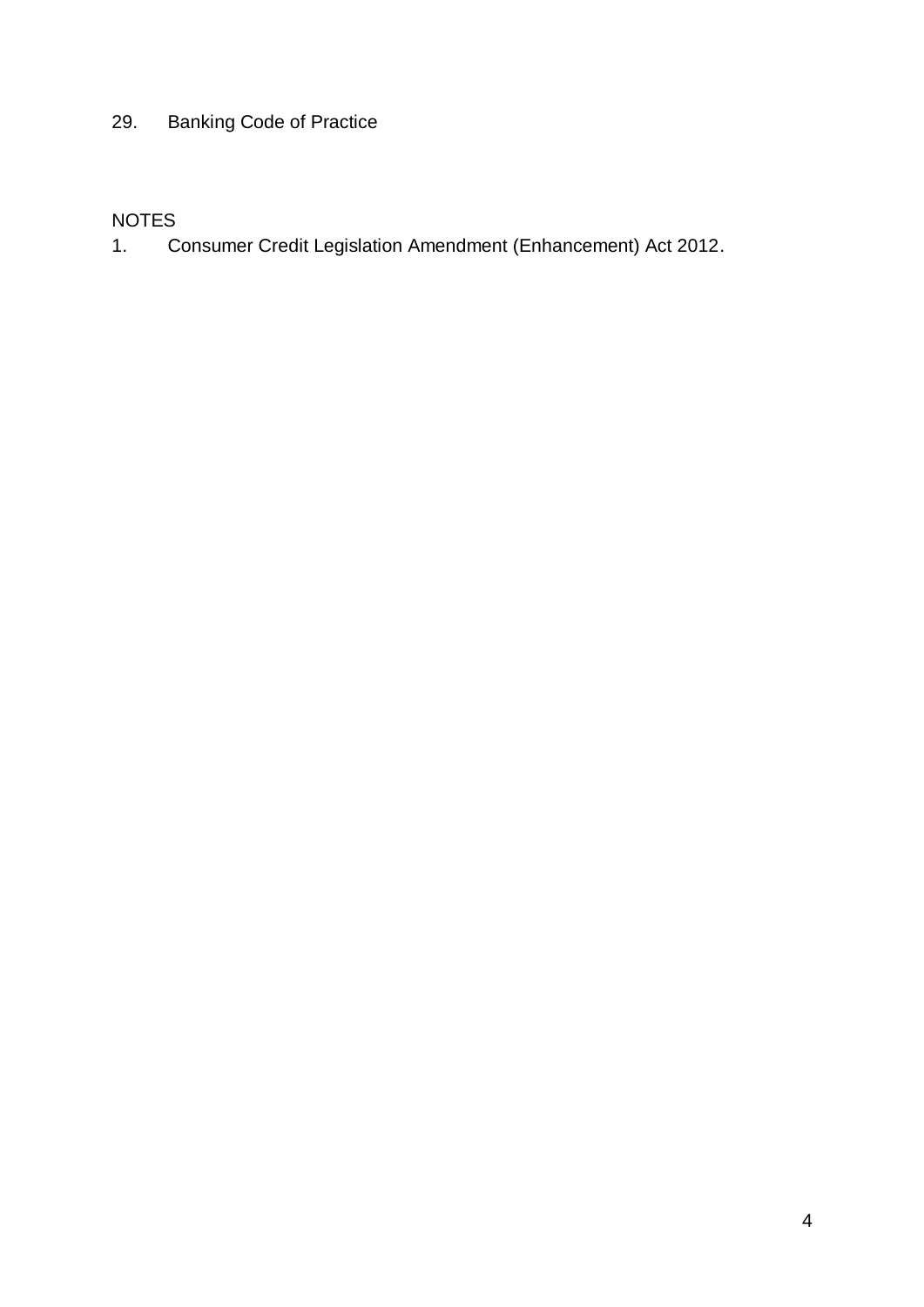# 29. Banking Code of Practice

# NOTES

1. Consumer Credit Legislation Amendment (Enhancement) Act 2012.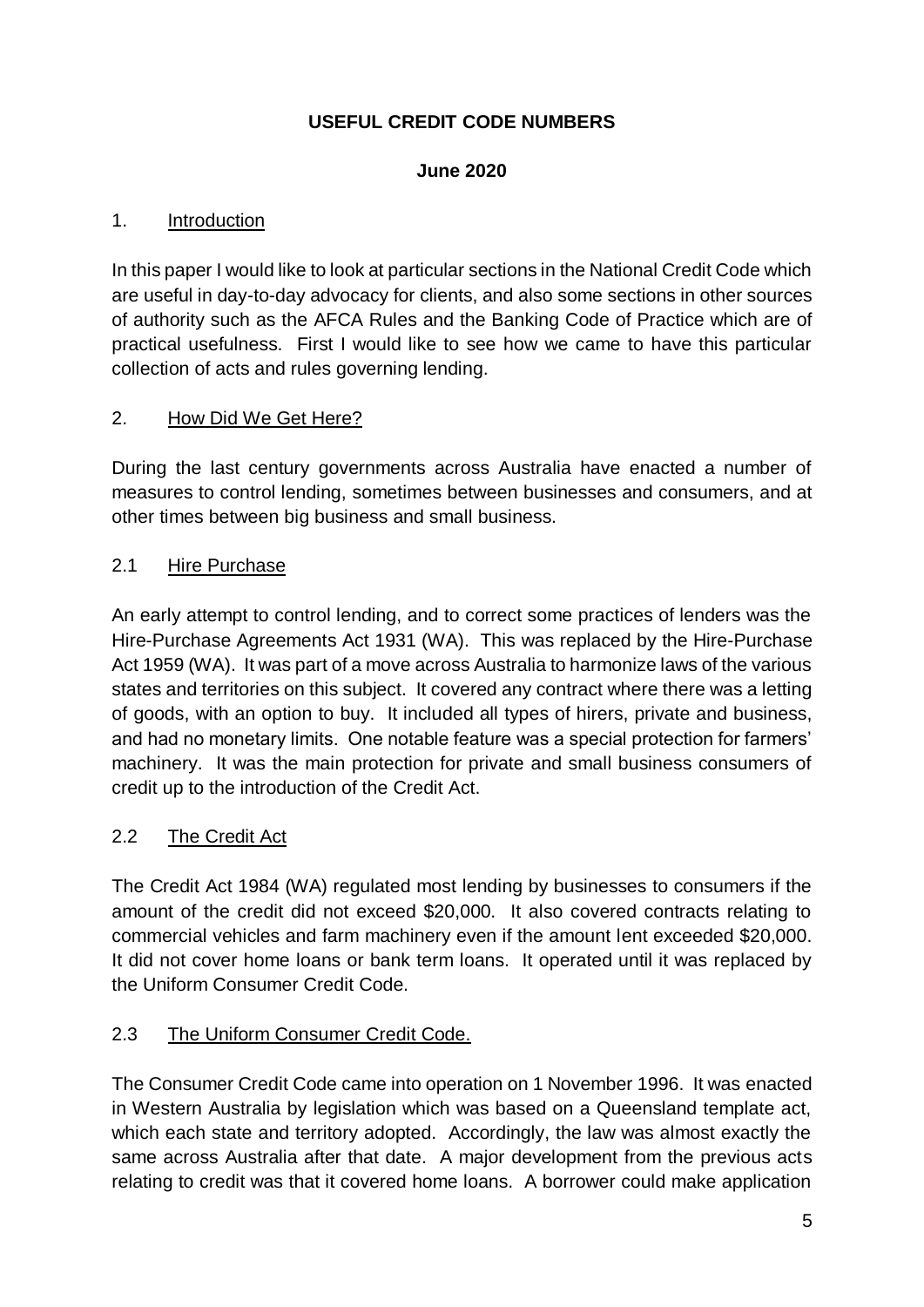# **USEFUL CREDIT CODE NUMBERS**

#### **June 2020**

#### 1. Introduction

In this paper I would like to look at particular sections in the National Credit Code which are useful in day-to-day advocacy for clients, and also some sections in other sources of authority such as the AFCA Rules and the Banking Code of Practice which are of practical usefulness. First I would like to see how we came to have this particular collection of acts and rules governing lending.

#### 2. How Did We Get Here?

During the last century governments across Australia have enacted a number of measures to control lending, sometimes between businesses and consumers, and at other times between big business and small business.

#### 2.1 Hire Purchase

An early attempt to control lending, and to correct some practices of lenders was the Hire-Purchase Agreements Act 1931 (WA). This was replaced by the Hire-Purchase Act 1959 (WA). It was part of a move across Australia to harmonize laws of the various states and territories on this subject. It covered any contract where there was a letting of goods, with an option to buy. It included all types of hirers, private and business, and had no monetary limits. One notable feature was a special protection for farmers' machinery. It was the main protection for private and small business consumers of credit up to the introduction of the Credit Act.

#### 2.2 The Credit Act

The Credit Act 1984 (WA) regulated most lending by businesses to consumers if the amount of the credit did not exceed \$20,000. It also covered contracts relating to commercial vehicles and farm machinery even if the amount lent exceeded \$20,000. It did not cover home loans or bank term loans. It operated until it was replaced by the Uniform Consumer Credit Code.

#### 2.3 The Uniform Consumer Credit Code.

The Consumer Credit Code came into operation on 1 November 1996. It was enacted in Western Australia by legislation which was based on a Queensland template act, which each state and territory adopted. Accordingly, the law was almost exactly the same across Australia after that date. A major development from the previous acts relating to credit was that it covered home loans. A borrower could make application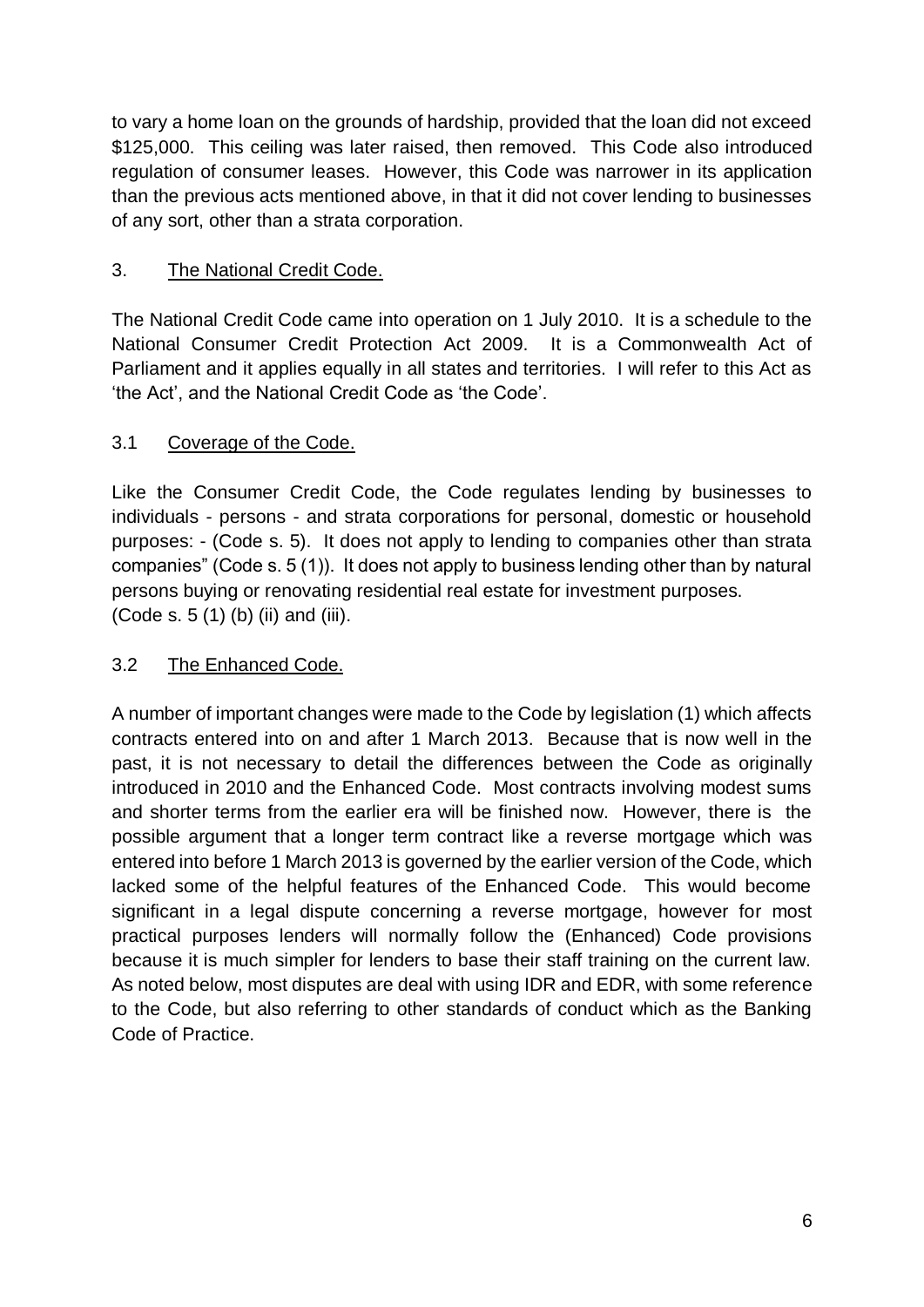to vary a home loan on the grounds of hardship, provided that the loan did not exceed \$125,000. This ceiling was later raised, then removed. This Code also introduced regulation of consumer leases. However, this Code was narrower in its application than the previous acts mentioned above, in that it did not cover lending to businesses of any sort, other than a strata corporation.

# 3. The National Credit Code.

The National Credit Code came into operation on 1 July 2010. It is a schedule to the National Consumer Credit Protection Act 2009. It is a Commonwealth Act of Parliament and it applies equally in all states and territories. I will refer to this Act as 'the Act', and the National Credit Code as 'the Code'.

# 3.1 Coverage of the Code.

Like the Consumer Credit Code, the Code regulates lending by businesses to individuals - persons - and strata corporations for personal, domestic or household purposes: - (Code s. 5). It does not apply to lending to companies other than strata companies" (Code s. 5 (1)). It does not apply to business lending other than by natural persons buying or renovating residential real estate for investment purposes. (Code s. 5 (1) (b) (ii) and (iii).

# 3.2 The Enhanced Code.

A number of important changes were made to the Code by legislation (1) which affects contracts entered into on and after 1 March 2013. Because that is now well in the past, it is not necessary to detail the differences between the Code as originally introduced in 2010 and the Enhanced Code. Most contracts involving modest sums and shorter terms from the earlier era will be finished now. However, there is the possible argument that a longer term contract like a reverse mortgage which was entered into before 1 March 2013 is governed by the earlier version of the Code, which lacked some of the helpful features of the Enhanced Code. This would become significant in a legal dispute concerning a reverse mortgage, however for most practical purposes lenders will normally follow the (Enhanced) Code provisions because it is much simpler for lenders to base their staff training on the current law. As noted below, most disputes are deal with using IDR and EDR, with some reference to the Code, but also referring to other standards of conduct which as the Banking Code of Practice.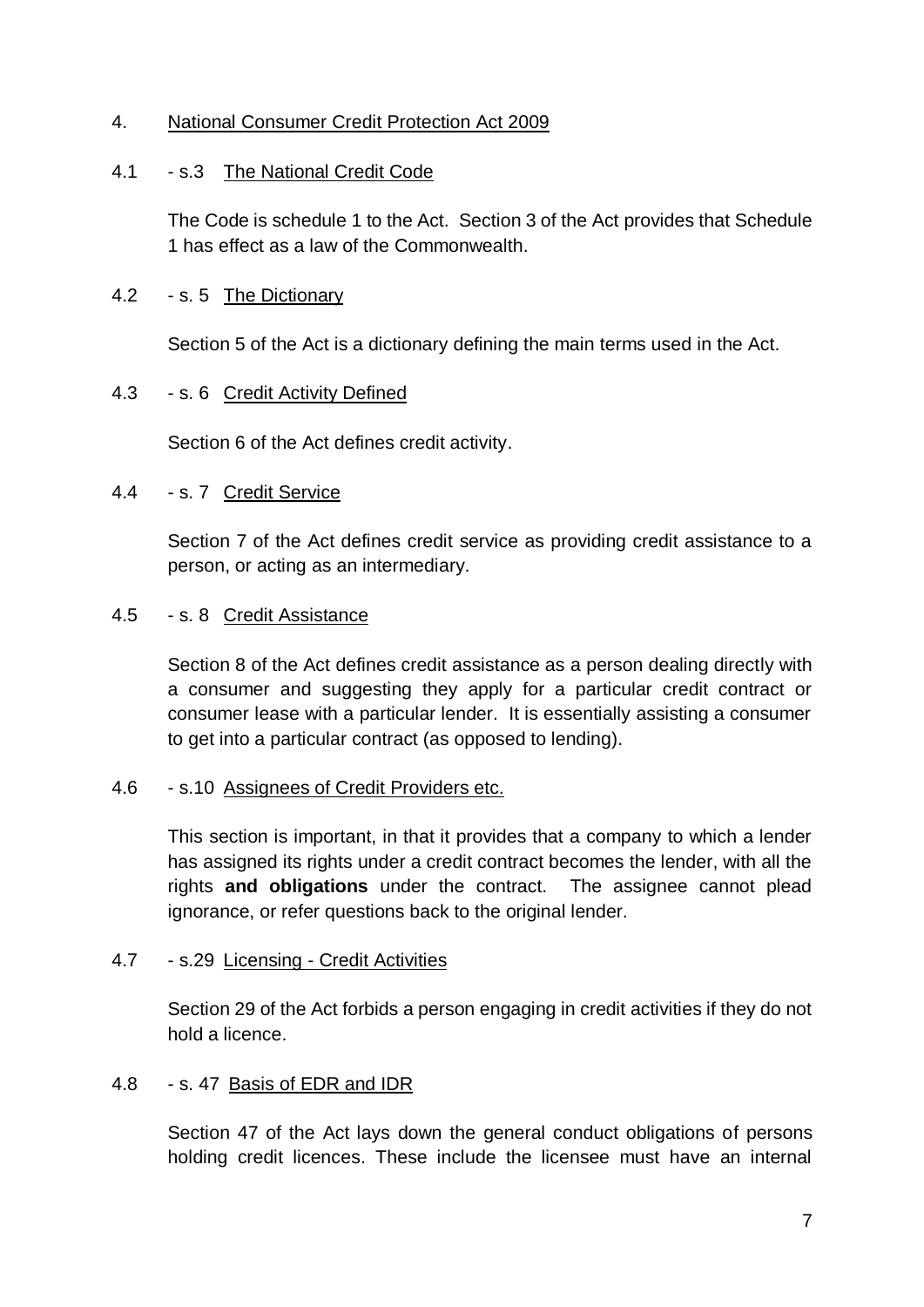#### 4. National Consumer Credit Protection Act 2009

#### 4.1 - s.3 The National Credit Code

The Code is schedule 1 to the Act. Section 3 of the Act provides that Schedule 1 has effect as a law of the Commonwealth.

#### 4.2 - s. 5 The Dictionary

Section 5 of the Act is a dictionary defining the main terms used in the Act.

#### 4.3 - s. 6 Credit Activity Defined

Section 6 of the Act defines credit activity.

#### 4.4 - s. 7 Credit Service

Section 7 of the Act defines credit service as providing credit assistance to a person, or acting as an intermediary.

#### 4.5 - s. 8 Credit Assistance

Section 8 of the Act defines credit assistance as a person dealing directly with a consumer and suggesting they apply for a particular credit contract or consumer lease with a particular lender. It is essentially assisting a consumer to get into a particular contract (as opposed to lending).

#### 4.6 - s.10 Assignees of Credit Providers etc.

This section is important, in that it provides that a company to which a lender has assigned its rights under a credit contract becomes the lender, with all the rights **and obligations** under the contract. The assignee cannot plead ignorance, or refer questions back to the original lender.

#### 4.7 - s.29 Licensing - Credit Activities

Section 29 of the Act forbids a person engaging in credit activities if they do not hold a licence.

#### 4.8 - s. 47 Basis of EDR and IDR

Section 47 of the Act lays down the general conduct obligations of persons holding credit licences. These include the licensee must have an internal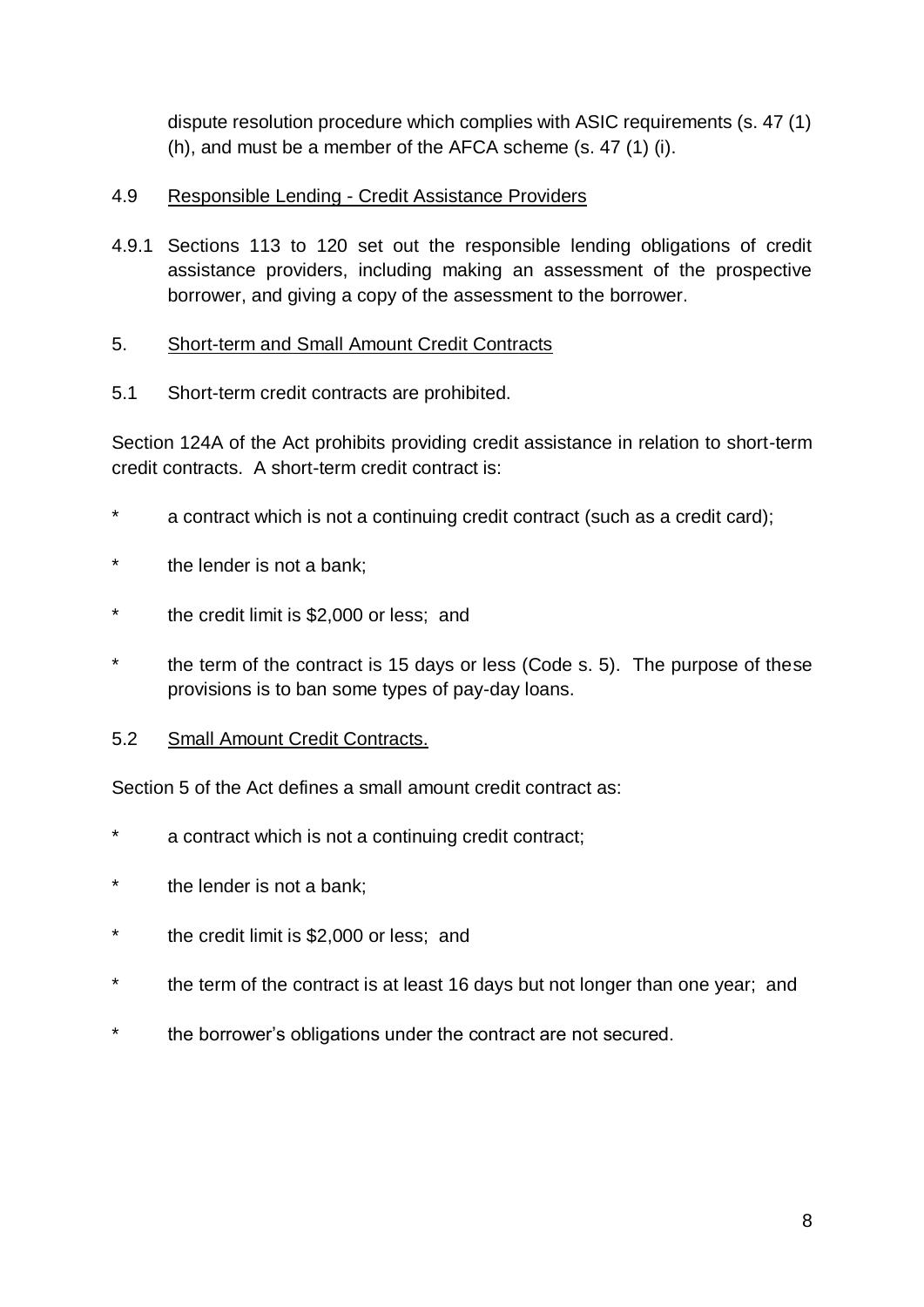dispute resolution procedure which complies with ASIC requirements (s. 47 (1) (h), and must be a member of the AFCA scheme (s. 47 (1) (i).

### 4.9 Responsible Lending - Credit Assistance Providers

4.9.1 Sections 113 to 120 set out the responsible lending obligations of credit assistance providers, including making an assessment of the prospective borrower, and giving a copy of the assessment to the borrower.

#### 5. Short-term and Small Amount Credit Contracts

5.1 Short-term credit contracts are prohibited.

Section 124A of the Act prohibits providing credit assistance in relation to short-term credit contracts. A short-term credit contract is:

- a contract which is not a continuing credit contract (such as a credit card);
- \* the lender is not a bank;
- \* the credit limit is \$2,000 or less; and
- \* the term of the contract is 15 days or less (Code s. 5). The purpose of these provisions is to ban some types of pay-day loans.

#### 5.2 Small Amount Credit Contracts.

Section 5 of the Act defines a small amount credit contract as:

- \* a contract which is not a continuing credit contract;
- \* the lender is not a bank;
- \* the credit limit is \$2,000 or less; and
- \* the term of the contract is at least 16 days but not longer than one year; and
- \* the borrower's obligations under the contract are not secured.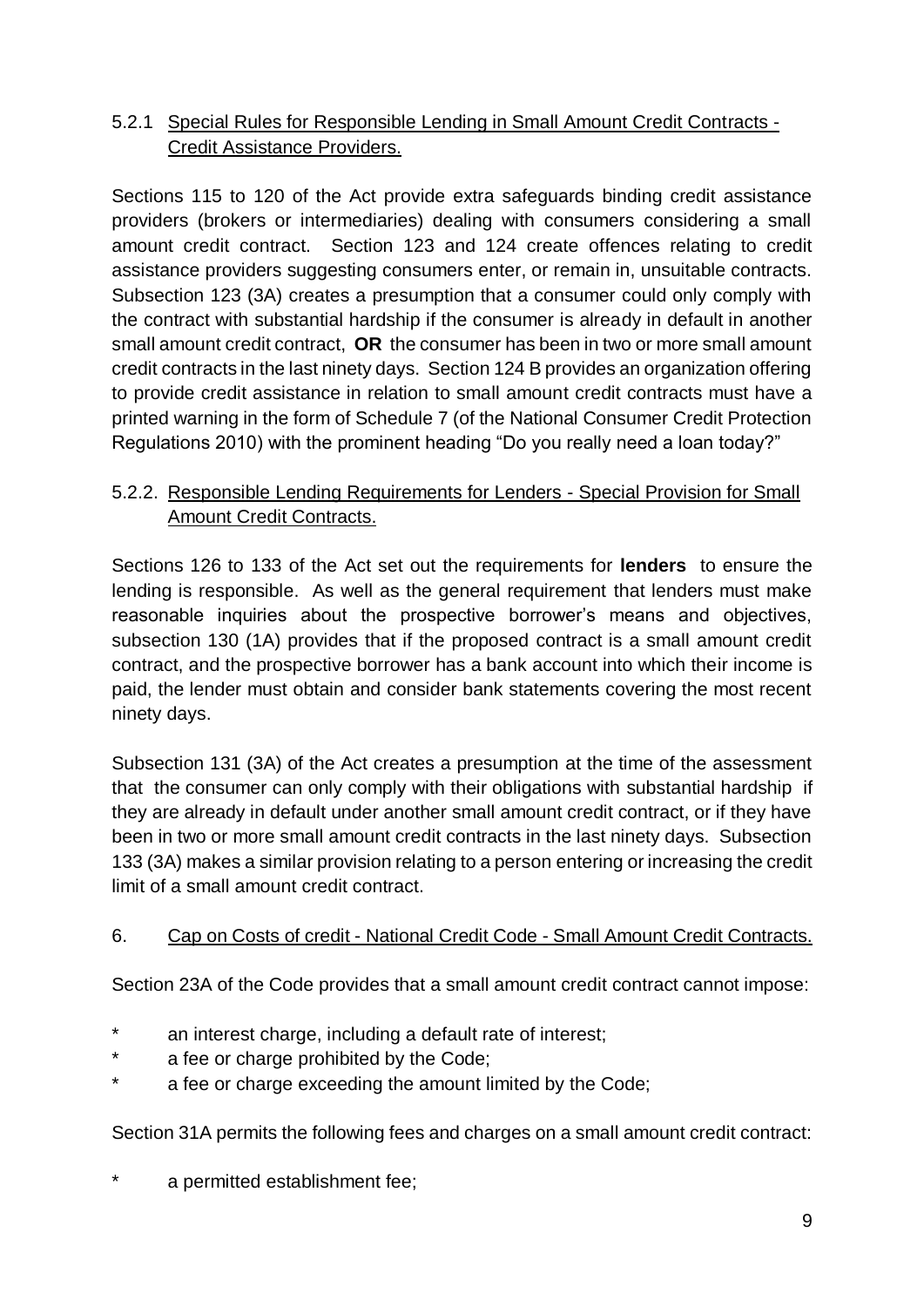# 5.2.1 Special Rules for Responsible Lending in Small Amount Credit Contracts - Credit Assistance Providers.

Sections 115 to 120 of the Act provide extra safeguards binding credit assistance providers (brokers or intermediaries) dealing with consumers considering a small amount credit contract. Section 123 and 124 create offences relating to credit assistance providers suggesting consumers enter, or remain in, unsuitable contracts. Subsection 123 (3A) creates a presumption that a consumer could only comply with the contract with substantial hardship if the consumer is already in default in another small amount credit contract, **OR** the consumer has been in two or more small amount credit contracts in the last ninety days. Section 124 B provides an organization offering to provide credit assistance in relation to small amount credit contracts must have a printed warning in the form of Schedule 7 (of the National Consumer Credit Protection Regulations 2010) with the prominent heading "Do you really need a loan today?"

# 5.2.2. Responsible Lending Requirements for Lenders - Special Provision for Small Amount Credit Contracts.

Sections 126 to 133 of the Act set out the requirements for **lenders** to ensure the lending is responsible. As well as the general requirement that lenders must make reasonable inquiries about the prospective borrower's means and objectives, subsection 130 (1A) provides that if the proposed contract is a small amount credit contract, and the prospective borrower has a bank account into which their income is paid, the lender must obtain and consider bank statements covering the most recent ninety days.

Subsection 131 (3A) of the Act creates a presumption at the time of the assessment that the consumer can only comply with their obligations with substantial hardship if they are already in default under another small amount credit contract, or if they have been in two or more small amount credit contracts in the last ninety days. Subsection 133 (3A) makes a similar provision relating to a person entering or increasing the credit limit of a small amount credit contract.

# 6. Cap on Costs of credit - National Credit Code - Small Amount Credit Contracts.

Section 23A of the Code provides that a small amount credit contract cannot impose:

- an interest charge, including a default rate of interest;
- a fee or charge prohibited by the Code;
- a fee or charge exceeding the amount limited by the Code;

Section 31A permits the following fees and charges on a small amount credit contract:

a permitted establishment fee;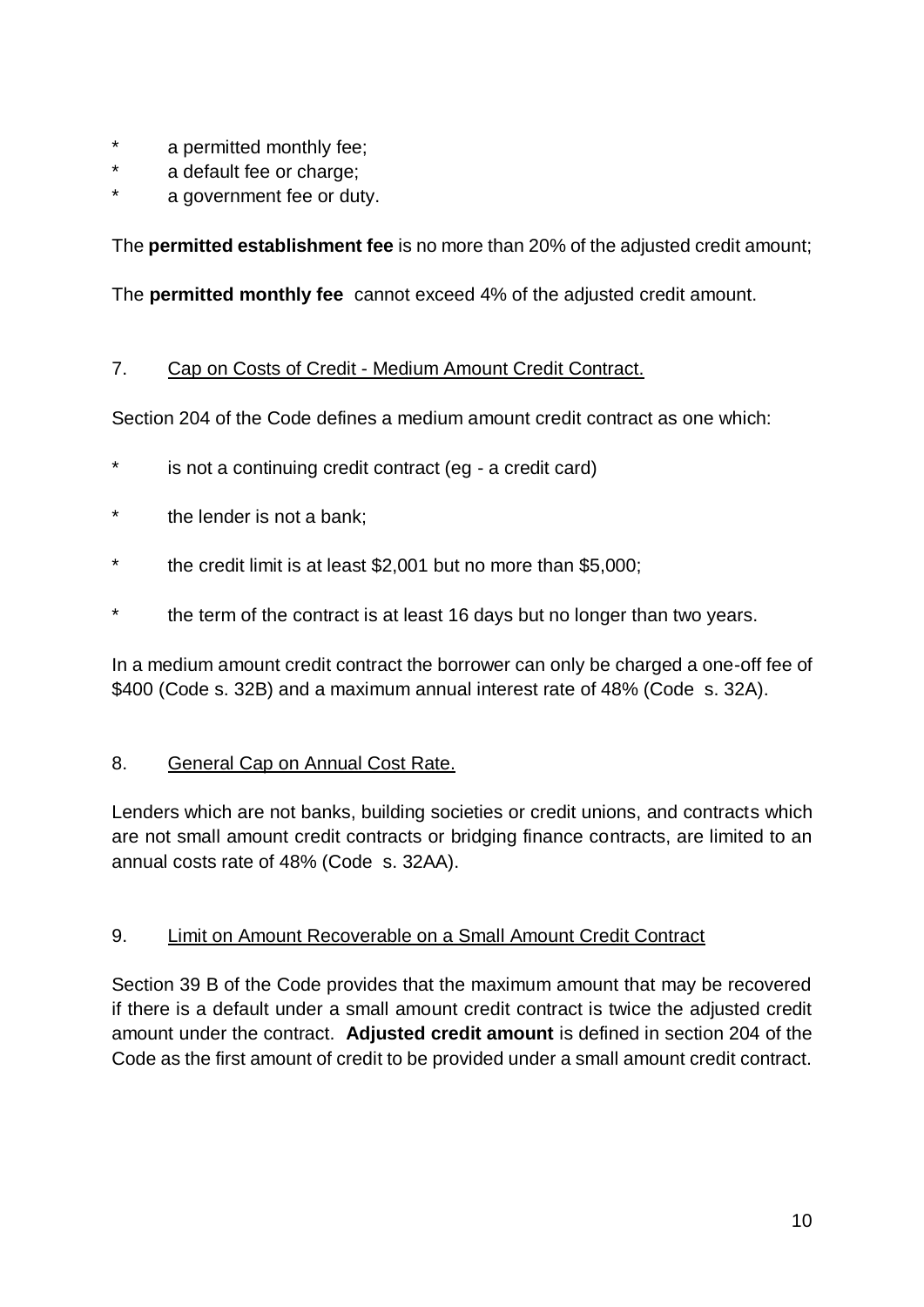- a permitted monthly fee;
- \* a default fee or charge;
- a government fee or duty.

The **permitted establishment fee** is no more than 20% of the adjusted credit amount;

The **permitted monthly fee** cannot exceed 4% of the adjusted credit amount.

#### 7. Cap on Costs of Credit - Medium Amount Credit Contract.

Section 204 of the Code defines a medium amount credit contract as one which:

- is not a continuing credit contract (eg a credit card)
- the lender is not a bank;
- the credit limit is at least  $$2,001$  but no more than  $$5,000$ ;
- \* the term of the contract is at least 16 days but no longer than two years.

In a medium amount credit contract the borrower can only be charged a one-off fee of \$400 (Code s. 32B) and a maximum annual interest rate of 48% (Code s. 32A).

#### 8. General Cap on Annual Cost Rate.

Lenders which are not banks, building societies or credit unions, and contracts which are not small amount credit contracts or bridging finance contracts, are limited to an annual costs rate of 48% (Code s. 32AA).

#### 9. Limit on Amount Recoverable on a Small Amount Credit Contract

Section 39 B of the Code provides that the maximum amount that may be recovered if there is a default under a small amount credit contract is twice the adjusted credit amount under the contract. **Adjusted credit amount** is defined in section 204 of the Code as the first amount of credit to be provided under a small amount credit contract.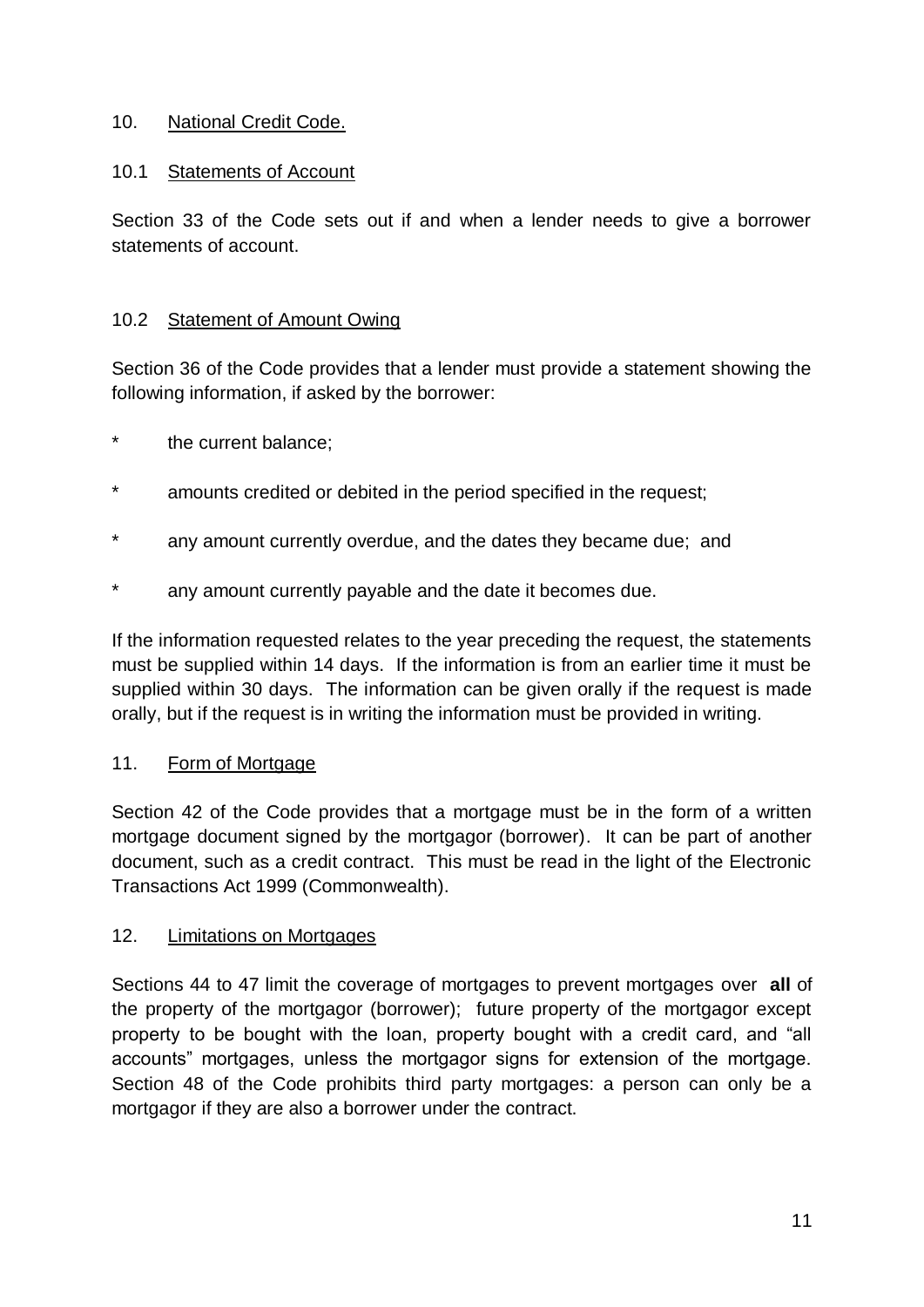#### 10. National Credit Code.

### 10.1 Statements of Account

Section 33 of the Code sets out if and when a lender needs to give a borrower statements of account.

#### 10.2 Statement of Amount Owing

Section 36 of the Code provides that a lender must provide a statement showing the following information, if asked by the borrower:

- the current balance;
- amounts credited or debited in the period specified in the request:
- \* any amount currently overdue, and the dates they became due; and
- \* any amount currently payable and the date it becomes due.

If the information requested relates to the year preceding the request, the statements must be supplied within 14 days. If the information is from an earlier time it must be supplied within 30 days. The information can be given orally if the request is made orally, but if the request is in writing the information must be provided in writing.

#### 11. Form of Mortgage

Section 42 of the Code provides that a mortgage must be in the form of a written mortgage document signed by the mortgagor (borrower). It can be part of another document, such as a credit contract. This must be read in the light of the Electronic Transactions Act 1999 (Commonwealth).

#### 12. Limitations on Mortgages

Sections 44 to 47 limit the coverage of mortgages to prevent mortgages over **all** of the property of the mortgagor (borrower); future property of the mortgagor except property to be bought with the loan, property bought with a credit card, and "all accounts" mortgages, unless the mortgagor signs for extension of the mortgage. Section 48 of the Code prohibits third party mortgages: a person can only be a mortgagor if they are also a borrower under the contract.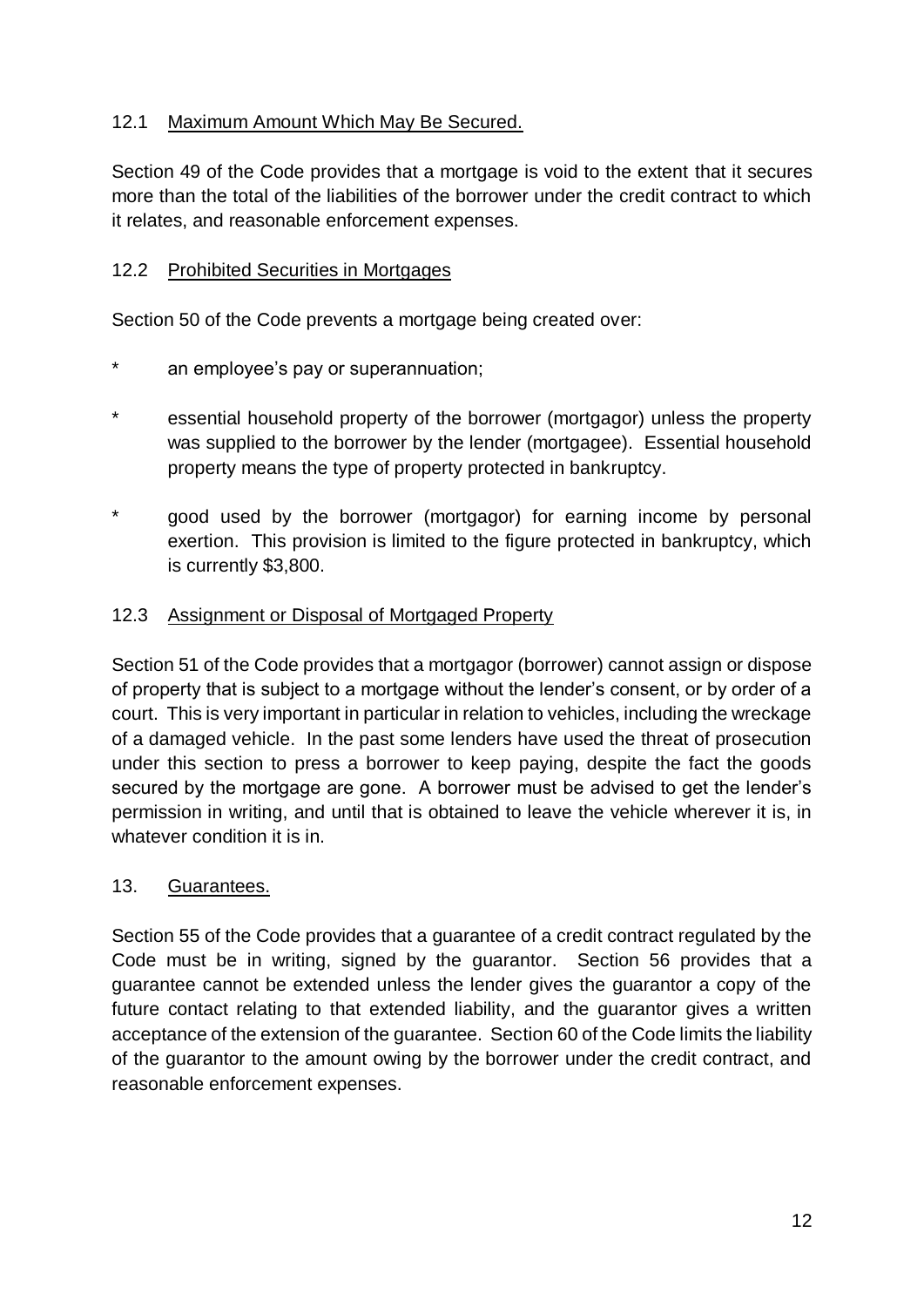# 12.1 Maximum Amount Which May Be Secured.

Section 49 of the Code provides that a mortgage is void to the extent that it secures more than the total of the liabilities of the borrower under the credit contract to which it relates, and reasonable enforcement expenses.

### 12.2 Prohibited Securities in Mortgages

Section 50 of the Code prevents a mortgage being created over:

- \* an employee's pay or superannuation;
- \* essential household property of the borrower (mortgagor) unless the property was supplied to the borrower by the lender (mortgagee). Essential household property means the type of property protected in bankruptcy.
- good used by the borrower (mortgagor) for earning income by personal exertion. This provision is limited to the figure protected in bankruptcy, which is currently \$3,800.

#### 12.3 Assignment or Disposal of Mortgaged Property

Section 51 of the Code provides that a mortgagor (borrower) cannot assign or dispose of property that is subject to a mortgage without the lender's consent, or by order of a court. This is very important in particular in relation to vehicles, including the wreckage of a damaged vehicle. In the past some lenders have used the threat of prosecution under this section to press a borrower to keep paying, despite the fact the goods secured by the mortgage are gone. A borrower must be advised to get the lender's permission in writing, and until that is obtained to leave the vehicle wherever it is, in whatever condition it is in.

#### 13. Guarantees.

Section 55 of the Code provides that a guarantee of a credit contract regulated by the Code must be in writing, signed by the guarantor. Section 56 provides that a guarantee cannot be extended unless the lender gives the guarantor a copy of the future contact relating to that extended liability, and the guarantor gives a written acceptance of the extension of the guarantee. Section 60 of the Code limits the liability of the guarantor to the amount owing by the borrower under the credit contract, and reasonable enforcement expenses.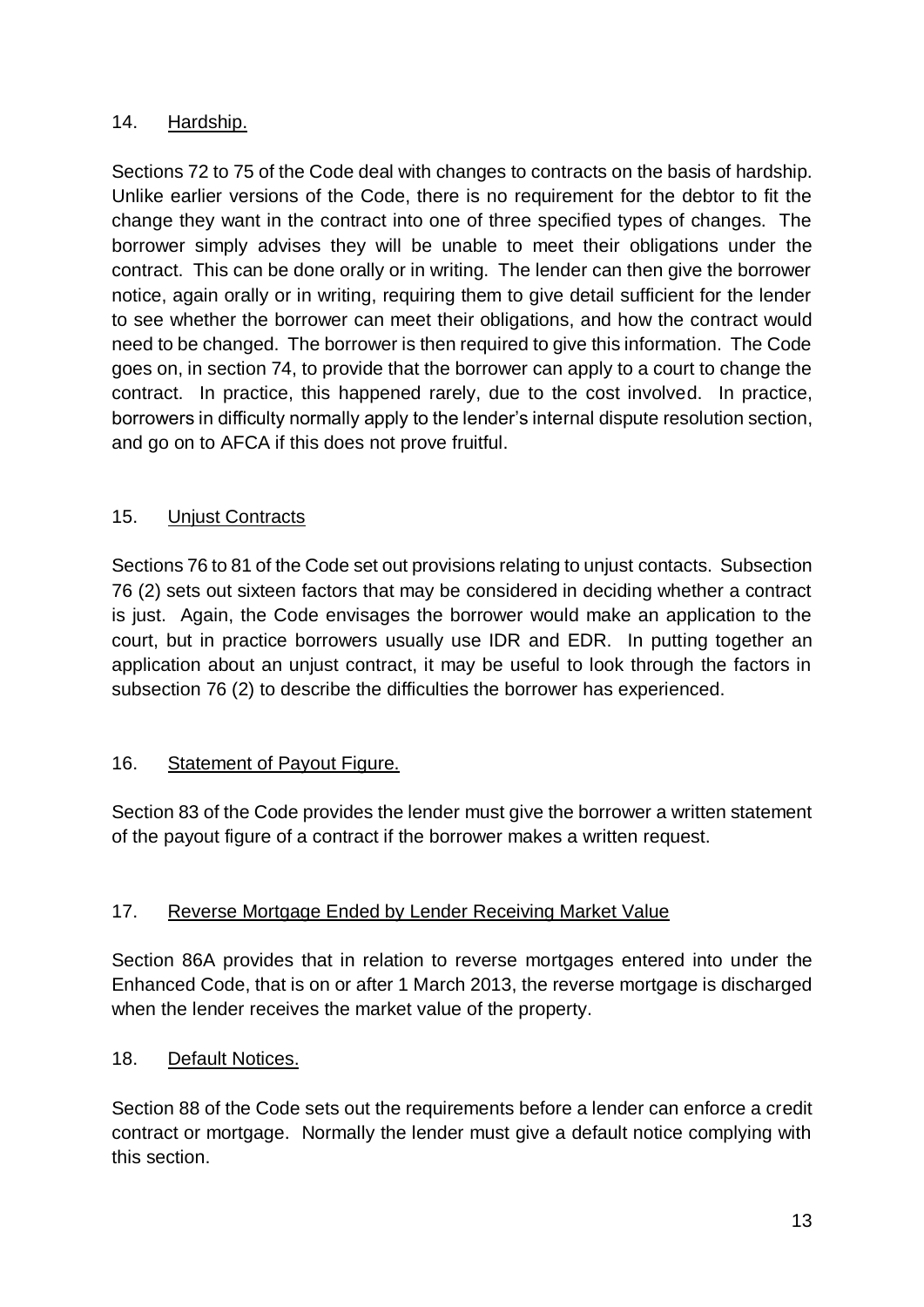# 14. Hardship.

Sections 72 to 75 of the Code deal with changes to contracts on the basis of hardship. Unlike earlier versions of the Code, there is no requirement for the debtor to fit the change they want in the contract into one of three specified types of changes. The borrower simply advises they will be unable to meet their obligations under the contract. This can be done orally or in writing. The lender can then give the borrower notice, again orally or in writing, requiring them to give detail sufficient for the lender to see whether the borrower can meet their obligations, and how the contract would need to be changed. The borrower is then required to give this information. The Code goes on, in section 74, to provide that the borrower can apply to a court to change the contract. In practice, this happened rarely, due to the cost involved. In practice, borrowers in difficulty normally apply to the lender's internal dispute resolution section, and go on to AFCA if this does not prove fruitful.

# 15. Unjust Contracts

Sections 76 to 81 of the Code set out provisions relating to unjust contacts. Subsection 76 (2) sets out sixteen factors that may be considered in deciding whether a contract is just. Again, the Code envisages the borrower would make an application to the court, but in practice borrowers usually use IDR and EDR. In putting together an application about an unjust contract, it may be useful to look through the factors in subsection 76 (2) to describe the difficulties the borrower has experienced.

#### 16. Statement of Payout Figure.

Section 83 of the Code provides the lender must give the borrower a written statement of the payout figure of a contract if the borrower makes a written request.

#### 17. Reverse Mortgage Ended by Lender Receiving Market Value

Section 86A provides that in relation to reverse mortgages entered into under the Enhanced Code, that is on or after 1 March 2013, the reverse mortgage is discharged when the lender receives the market value of the property.

#### 18. Default Notices.

Section 88 of the Code sets out the requirements before a lender can enforce a credit contract or mortgage. Normally the lender must give a default notice complying with this section.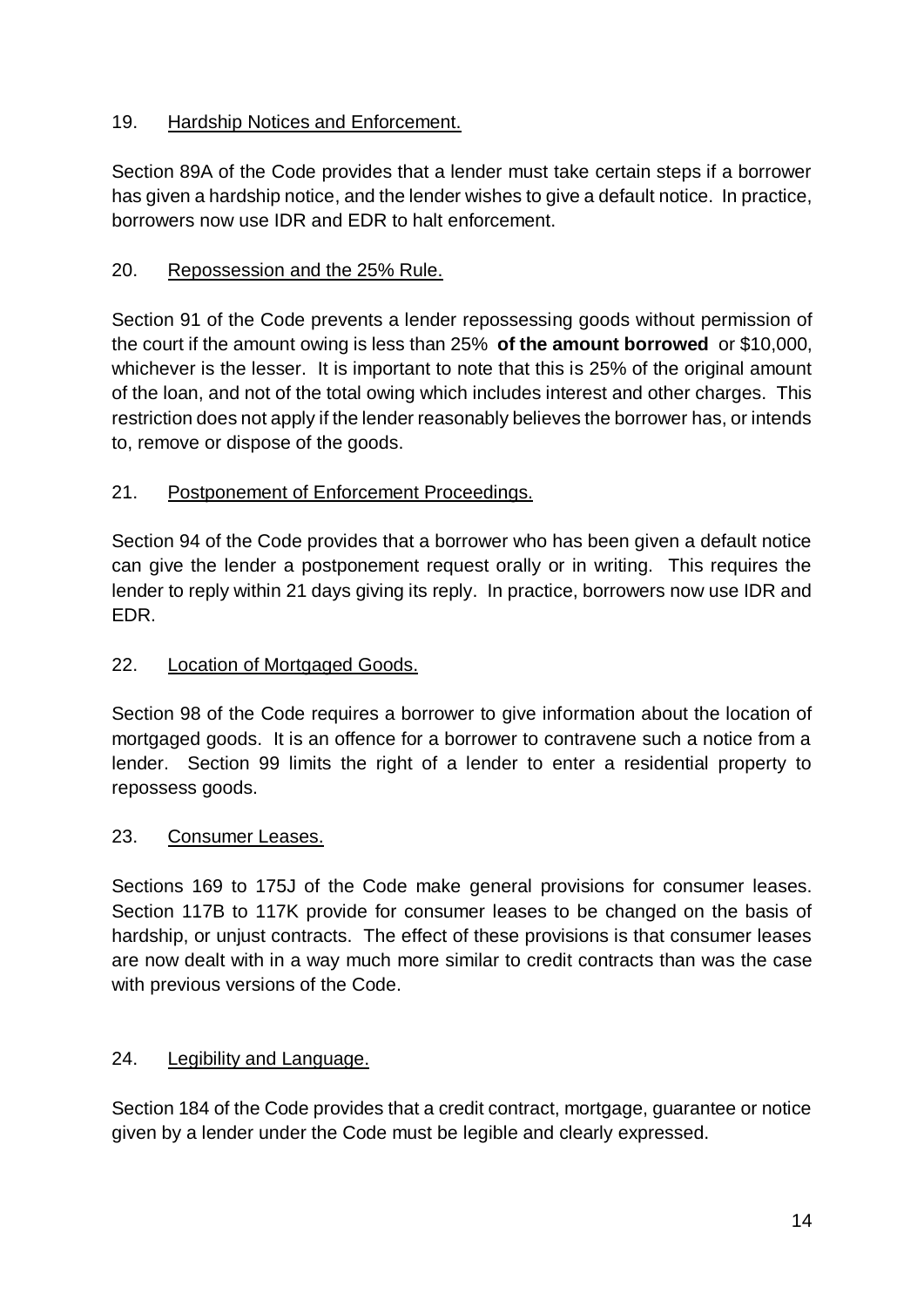# 19. Hardship Notices and Enforcement.

Section 89A of the Code provides that a lender must take certain steps if a borrower has given a hardship notice, and the lender wishes to give a default notice. In practice, borrowers now use IDR and EDR to halt enforcement.

# 20. Repossession and the 25% Rule.

Section 91 of the Code prevents a lender repossessing goods without permission of the court if the amount owing is less than 25% **of the amount borrowed** or \$10,000, whichever is the lesser. It is important to note that this is 25% of the original amount of the loan, and not of the total owing which includes interest and other charges. This restriction does not apply if the lender reasonably believes the borrower has, or intends to, remove or dispose of the goods.

# 21. Postponement of Enforcement Proceedings.

Section 94 of the Code provides that a borrower who has been given a default notice can give the lender a postponement request orally or in writing. This requires the lender to reply within 21 days giving its reply. In practice, borrowers now use IDR and EDR.

### 22. Location of Mortgaged Goods.

Section 98 of the Code requires a borrower to give information about the location of mortgaged goods. It is an offence for a borrower to contravene such a notice from a lender. Section 99 limits the right of a lender to enter a residential property to repossess goods.

#### 23. Consumer Leases.

Sections 169 to 175J of the Code make general provisions for consumer leases. Section 117B to 117K provide for consumer leases to be changed on the basis of hardship, or unjust contracts. The effect of these provisions is that consumer leases are now dealt with in a way much more similar to credit contracts than was the case with previous versions of the Code.

#### 24. Legibility and Language.

Section 184 of the Code provides that a credit contract, mortgage, guarantee or notice given by a lender under the Code must be legible and clearly expressed.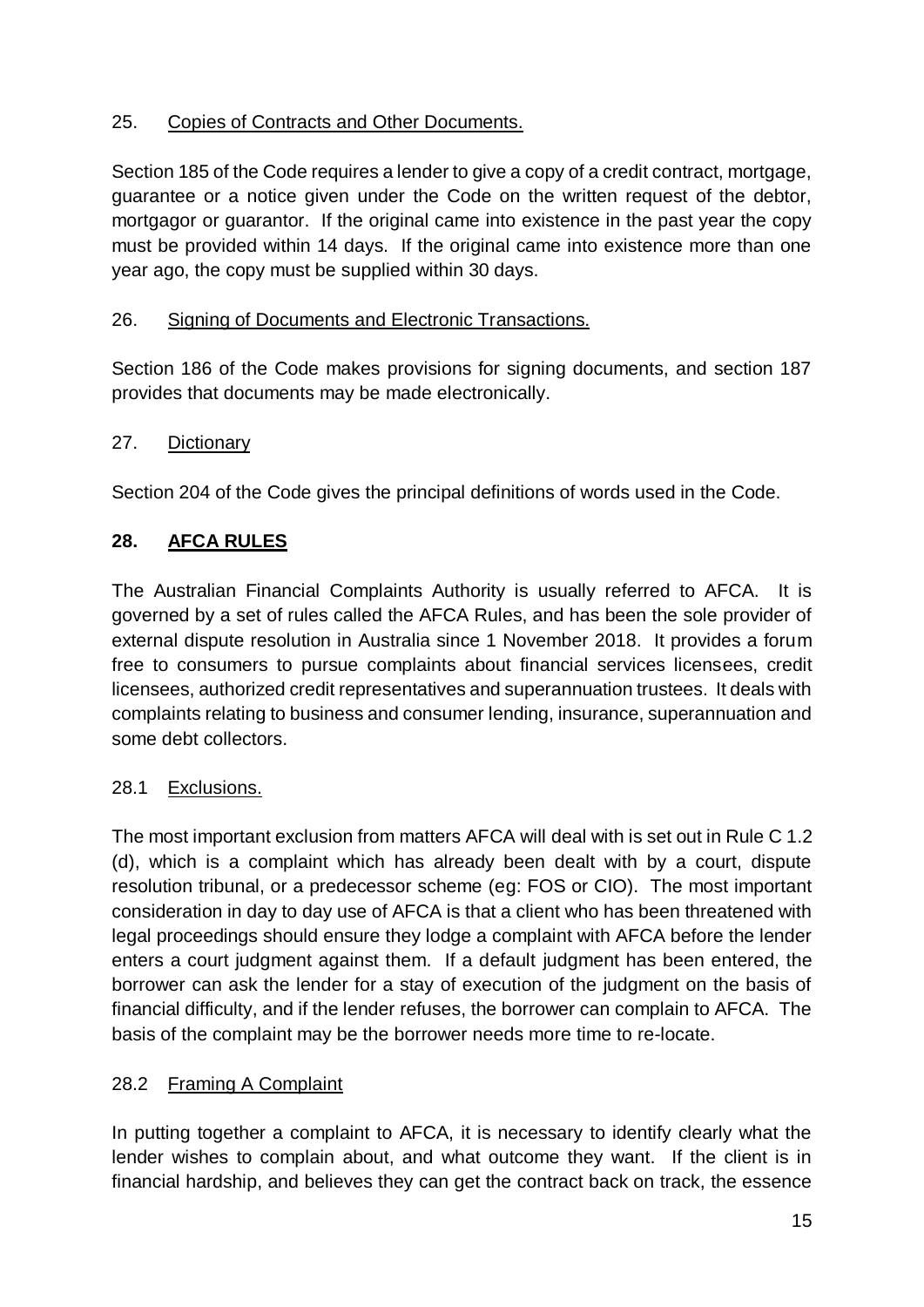# 25. Copies of Contracts and Other Documents.

Section 185 of the Code requires a lender to give a copy of a credit contract, mortgage, guarantee or a notice given under the Code on the written request of the debtor, mortgagor or guarantor. If the original came into existence in the past year the copy must be provided within 14 days. If the original came into existence more than one year ago, the copy must be supplied within 30 days.

### 26. Signing of Documents and Electronic Transactions.

Section 186 of the Code makes provisions for signing documents, and section 187 provides that documents may be made electronically.

#### 27. Dictionary

Section 204 of the Code gives the principal definitions of words used in the Code.

# **28. AFCA RULES**

The Australian Financial Complaints Authority is usually referred to AFCA. It is governed by a set of rules called the AFCA Rules, and has been the sole provider of external dispute resolution in Australia since 1 November 2018. It provides a forum free to consumers to pursue complaints about financial services licensees, credit licensees, authorized credit representatives and superannuation trustees. It deals with complaints relating to business and consumer lending, insurance, superannuation and some debt collectors.

#### 28.1 Exclusions.

The most important exclusion from matters AFCA will deal with is set out in Rule C 1.2 (d), which is a complaint which has already been dealt with by a court, dispute resolution tribunal, or a predecessor scheme (eg: FOS or CIO). The most important consideration in day to day use of AFCA is that a client who has been threatened with legal proceedings should ensure they lodge a complaint with AFCA before the lender enters a court judgment against them. If a default judgment has been entered, the borrower can ask the lender for a stay of execution of the judgment on the basis of financial difficulty, and if the lender refuses, the borrower can complain to AFCA. The basis of the complaint may be the borrower needs more time to re-locate.

#### 28.2 Framing A Complaint

In putting together a complaint to AFCA, it is necessary to identify clearly what the lender wishes to complain about, and what outcome they want. If the client is in financial hardship, and believes they can get the contract back on track, the essence